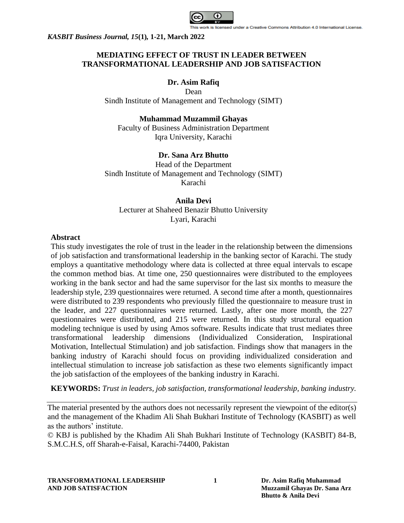

# **MEDIATING EFFECT OF TRUST IN LEADER BETWEEN TRANSFORMATIONAL LEADERSHIP AND JOB SATISFACTION**

# **Dr. Asim Rafiq**

Dean Sindh Institute of Management and Technology (SIMT)

## **Muhammad Muzammil Ghayas**

Faculty of Business Administration Department Iqra University, Karachi

# **Dr. Sana Arz Bhutto**

Head of the Department Sindh Institute of Management and Technology (SIMT) Karachi

# **Anila Devi**

Lecturer at Shaheed Benazir Bhutto University Lyari, Karachi

### **Abstract**

This study investigates the role of trust in the leader in the relationship between the dimensions of job satisfaction and transformational leadership in the banking sector of Karachi. The study employs a quantitative methodology where data is collected at three equal intervals to escape the common method bias. At time one, 250 questionnaires were distributed to the employees working in the bank sector and had the same supervisor for the last six months to measure the leadership style, 239 questionnaires were returned. A second time after a month, questionnaires were distributed to 239 respondents who previously filled the questionnaire to measure trust in the leader, and 227 questionnaires were returned. Lastly, after one more month, the 227 questionnaires were distributed, and 215 were returned. In this study structural equation modeling technique is used by using Amos software. Results indicate that trust mediates three transformational leadership dimensions (Individualized Consideration, Inspirational Motivation, Intellectual Stimulation) and job satisfaction. Findings show that managers in the banking industry of Karachi should focus on providing individualized consideration and intellectual stimulation to increase job satisfaction as these two elements significantly impact the job satisfaction of the employees of the banking industry in Karachi.

**KEYWORDS:** *Trust in leaders, job satisfaction, transformational leadership, banking industry.*

The material presented by the authors does not necessarily represent the viewpoint of the editor(s) and the management of the Khadim Ali Shah Bukhari Institute of Technology (KASBIT) as well as the authors' institute.

© KBJ is published by the Khadim Ali Shah Bukhari Institute of Technology (KASBIT) 84-B, S.M.C.H.S, off Sharah-e-Faisal, Karachi-74400, Pakistan

**TRANSFORMATIONAL LEADERSHIP 1 Dr. Asim Rafiq Muhammad AND JOB SATISFACTION Muzzamil Ghayas Dr. Sana Arz**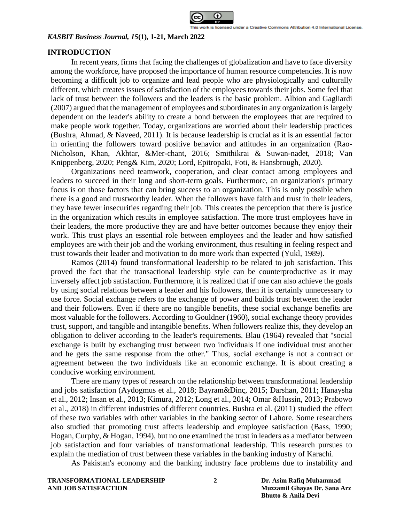

## **INTRODUCTION**

In recent years, firms that facing the challenges of globalization and have to face diversity among the workforce, have proposed the importance of human resource competencies. It is now becoming a difficult job to organize and lead people who are physiologically and culturally different, which creates issues of satisfaction of the employees towards their jobs. Some feel that lack of trust between the followers and the leaders is the basic problem. Albion and Gagliardi (2007) argued that the management of employees and subordinates in any organization is largely dependent on the leader's ability to create a bond between the employees that are required to make people work together. Today, organizations are worried about their leadership practices (Bushra, Ahmad, & Naveed, 2011). It is because leadership is crucial as it is an essential factor in orienting the followers toward positive behavior and attitudes in an organization (Rao-Nicholson, Khan, Akhtar, &Mer-chant, 2016; Smithikrai & Suwan-nadet, 2018; Van Knippenberg, 2020; Peng& Kim, 2020; Lord, Epitropaki, Foti, & Hansbrough, 2020).

Organizations need teamwork, cooperation, and clear contact among employees and leaders to succeed in their long and short-term goals. Furthermore, an organization's primary focus is on those factors that can bring success to an organization. This is only possible when there is a good and trustworthy leader. When the followers have faith and trust in their leaders, they have fewer insecurities regarding their job. This creates the perception that there is justice in the organization which results in employee satisfaction. The more trust employees have in their leaders, the more productive they are and have better outcomes because they enjoy their work. This trust plays an essential role between employees and the leader and how satisfied employees are with their job and the working environment, thus resulting in feeling respect and trust towards their leader and motivation to do more work than expected (Yukl, 1989).

Ramos (2014) found transformational leadership to be related to job satisfaction. This proved the fact that the transactional leadership style can be counterproductive as it may inversely affect job satisfaction. Furthermore, it is realized that if one can also achieve the goals by using social relations between a leader and his followers, then it is certainly unnecessary to use force. Social exchange refers to the exchange of power and builds trust between the leader and their followers. Even if there are no tangible benefits, these social exchange benefits are most valuable for the followers. According to Gouldner (1960), social exchange theory provides trust, support, and tangible and intangible benefits. When followers realize this, they develop an obligation to deliver according to the leader's requirements. Blau (1964) revealed that "social exchange is built by exchanging trust between two individuals if one individual trust another and he gets the same response from the other." Thus, social exchange is not a contract or agreement between the two individuals like an economic exchange. It is about creating a conducive working environment.

There are many types of research on the relationship between transformational leadership and jobs satisfaction (Aydogmus et al., 2018; Bayram&Dinç, 2015; Darshan, 2011; Hanaysha et al., 2012; Insan et al., 2013; Kimura, 2012; Long et al., 2014; Omar &Hussin, 2013; Prabowo et al., 2018) in different industries of different countries. Bushra et al. (2011) studied the effect of these two variables with other variables in the banking sector of Lahore. Some researchers also studied that promoting trust affects leadership and employee satisfaction (Bass, 1990; Hogan, Curphy, & Hogan, 1994), but no one examined the trust in leaders as a mediator between job satisfaction and four variables of transformational leadership. This research pursues to explain the mediation of trust between these variables in the banking industry of Karachi.

As Pakistan's economy and the banking industry face problems due to instability and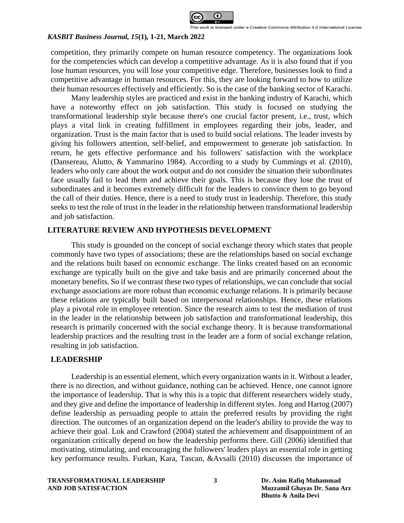

competition, they primarily compete on human resource competency. The organizations look for the competencies which can develop a competitive advantage. As it is also found that if you lose human resources, you will lose your competitive edge. Therefore, businesses look to find a competitive advantage in human resources. For this, they are looking forward to how to utilize their human resources effectively and efficiently. So is the case of the banking sector of Karachi.

Many leadership styles are practiced and exist in the banking industry of Karachi, which have a noteworthy effect on job satisfaction. This study is focused on studying the transformational leadership style because there's one crucial factor present, i.e., trust, which plays a vital link in creating fulfillment in employees regarding their jobs, leader, and organization. Trust is the main factor that is used to build social relations. The leader invests by giving his followers attention, self-belief, and empowerment to generate job satisfaction. In return, he gets effective performance and his followers' satisfaction with the workplace (Dansereau, Alutto, & Yammarino 1984). According to a study by Cummings et al. (2010), leaders who only care about the work output and do not consider the situation their subordinates face usually fail to lead them and achieve their goals. This is because they lose the trust of subordinates and it becomes extremely difficult for the leaders to convince them to go beyond the call of their duties. Hence, there is a need to study trust in leadership. Therefore, this study seeks to test the role of trust in the leader in the relationship between transformational leadership and job satisfaction.

## **LITERATURE REVIEW AND HYPOTHESIS DEVELOPMENT**

This study is grounded on the concept of social exchange theory which states that people commonly have two types of associations; these are the relationships based on social exchange and the relations built based on economic exchange. The links created based on an economic exchange are typically built on the give and take basis and are primarily concerned about the monetary benefits. So if we contrast these two types of relationships, we can conclude that social exchange associations are more robust than economic exchange relations. It is primarily because these relations are typically built based on interpersonal relationships. Hence, these relations play a pivotal role in employee retention. Since the research aims to test the mediation of trust in the leader in the relationship between job satisfaction and transformational leadership, this research is primarily concerned with the social exchange theory. It is because transformational leadership practices and the resulting trust in the leader are a form of social exchange relation, resulting in job satisfaction.

# **LEADERSHIP**

Leadership is an essential element, which every organization wants in it. Without a leader, there is no direction, and without guidance, nothing can be achieved. Hence, one cannot ignore the importance of leadership. That is why this is a topic that different researchers widely study, and they give and define the importance of leadership in different styles. Jong and Hartog (2007) define leadership as persuading people to attain the preferred results by providing the right direction. The outcomes of an organization depend on the leader's ability to provide the way to achieve their goal. Lok and Crawford (2004) stated the achievement and disappointment of an organization critically depend on how the leadership performs there. Gill (2006) identified that motivating, stimulating, and encouraging the followers' leaders plays an essential role in getting key performance results. Furkan, Kara, Tascan, &Avsalli (2010) discusses the importance of

### **TRANSFORMATIONAL LEADERSHIP 3 Dr. Asim Rafiq Muhammad AND JOB SATISFACTION Muzzamil Ghayas Dr. Sana Arz**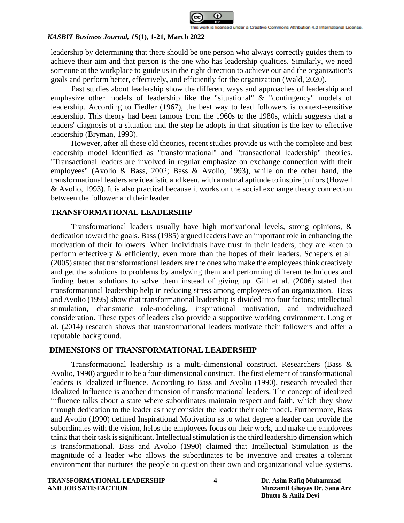

leadership by determining that there should be one person who always correctly guides them to achieve their aim and that person is the one who has leadership qualities. Similarly, we need someone at the workplace to guide us in the right direction to achieve our and the organization's goals and perform better, effectively, and efficiently for the organization (Wald, 2020).

Past studies about leadership show the different ways and approaches of leadership and emphasize other models of leadership like the "situational" & "contingency" models of leadership. According to Fiedler (1967), the best way to lead followers is context-sensitive leadership. This theory had been famous from the 1960s to the 1980s, which suggests that a leaders' diagnosis of a situation and the step he adopts in that situation is the key to effective leadership (Bryman, 1993).

However, after all these old theories, recent studies provide us with the complete and best leadership model identified as "transformational" and "transactional leadership" theories. "Transactional leaders are involved in regular emphasize on exchange connection with their employees" (Avolio & Bass, 2002; Bass & Avolio, 1993), while on the other hand, the transformational leaders are idealistic and keen, with a natural aptitude to inspire juniors (Howell & Avolio, 1993). It is also practical because it works on the social exchange theory connection between the follower and their leader.

## **TRANSFORMATIONAL LEADERSHIP**

Transformational leaders usually have high motivational levels, strong opinions, & dedication toward the goals. Bass (1985) argued leaders have an important role in enhancing the motivation of their followers. When individuals have trust in their leaders, they are keen to perform effectively & efficiently, even more than the hopes of their leaders. Schepers et al. (2005) stated that transformational leaders are the ones who make the employees think creatively and get the solutions to problems by analyzing them and performing different techniques and finding better solutions to solve them instead of giving up. Gill et al. (2006) stated that transformational leadership help in reducing stress among employees of an organization. Bass and Avolio (1995) show that transformational leadership is divided into four factors; intellectual stimulation, charismatic role-modeling, inspirational motivation, and individualized consideration. These types of leaders also provide a supportive working environment. Long et al. (2014) research shows that transformational leaders motivate their followers and offer a reputable background.

# **DIMENSIONS OF TRANSFORMATIONAL LEADERSHIP**

Transformational leadership is a multi-dimensional construct. Researchers (Bass & Avolio, 1990) argued it to be a four-dimensional construct. The first element of transformational leaders is Idealized influence. According to Bass and Avolio (1990), research revealed that Idealized Influence is another dimension of transformational leaders. The concept of idealized influence talks about a state where subordinates maintain respect and faith, which they show through dedication to the leader as they consider the leader their role model. Furthermore, Bass and Avolio (1990) defined Inspirational Motivation as to what degree a leader can provide the subordinates with the vision, helps the employees focus on their work, and make the employees think that their task is significant. Intellectual stimulation is the third leadership dimension which is transformational. Bass and Avolio (1990) claimed that Intellectual Stimulation is the magnitude of a leader who allows the subordinates to be inventive and creates a tolerant environment that nurtures the people to question their own and organizational value systems.

**TRANSFORMATIONAL LEADERSHIP 4 Dr. Asim Rafiq Muhammad AND JOB SATISFACTION Muzzamil Ghayas Dr. Sana Arz**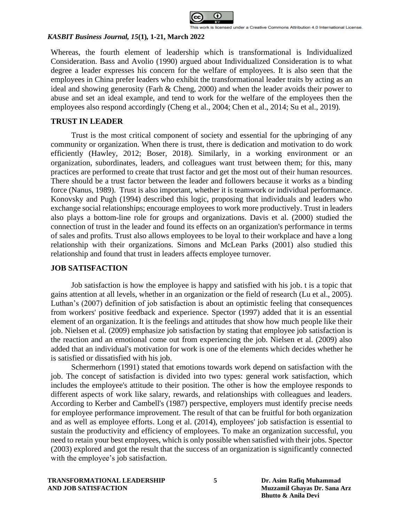

Whereas, the fourth element of leadership which is transformational is Individualized Consideration. Bass and Avolio (1990) argued about Individualized Consideration is to what degree a leader expresses his concern for the welfare of employees. It is also seen that the employees in China prefer leaders who exhibit the transformational leader traits by acting as an ideal and showing generosity (Farh & Cheng, 2000) and when the leader avoids their power to abuse and set an ideal example, and tend to work for the welfare of the employees then the employees also respond accordingly (Cheng et al., 2004; Chen et al., 2014; Su et al., 2019).

# **TRUST IN LEADER**

Trust is the most critical component of society and essential for the upbringing of any community or organization. When there is trust, there is dedication and motivation to do work efficiently (Hawley, 2012; Boser, 2018). Similarly, in a working environment or an organization, subordinates, leaders, and colleagues want trust between them; for this, many practices are performed to create that trust factor and get the most out of their human resources. There should be a trust factor between the leader and followers because it works as a binding force (Nanus, 1989). Trust is also important, whether it is teamwork or individual performance. Konovsky and Pugh (1994) described this logic, proposing that individuals and leaders who exchange social relationships; encourage employees to work more productively. Trust in leaders also plays a bottom-line role for groups and organizations. Davis et al. (2000) studied the connection of trust in the leader and found its effects on an organization's performance in terms of sales and profits. Trust also allows employees to be loyal to their workplace and have a long relationship with their organizations. Simons and McLean Parks (2001) also studied this relationship and found that trust in leaders affects employee turnover.

## **JOB SATISFACTION**

Job satisfaction is how the employee is happy and satisfied with his job. t is a topic that gains attention at all levels, whether in an organization or the field of research (Lu et al., 2005). Luthan's (2007) definition of job satisfaction is about an optimistic feeling that consequences from workers' positive feedback and experience. Spector (1997) added that it is an essential element of an organization. It is the feelings and attitudes that show how much people like their job. Nielsen et al. (2009) emphasize job satisfaction by stating that employee job satisfaction is the reaction and an emotional come out from experiencing the job. Nielsen et al. (2009) also added that an individual's motivation for work is one of the elements which decides whether he is satisfied or dissatisfied with his job.

Schermerhorn (1991) stated that emotions towards work depend on satisfaction with the job. The concept of satisfaction is divided into two types: general work satisfaction, which includes the employee's attitude to their position. The other is how the employee responds to different aspects of work like salary, rewards, and relationships with colleagues and leaders. According to Kerber and Cambell's (1987) perspective, employers must identify precise needs for employee performance improvement. The result of that can be fruitful for both organization and as well as employee efforts. Long et al. (2014), employees' job satisfaction is essential to sustain the productivity and efficiency of employees. To make an organization successful, you need to retain your best employees, which is only possible when satisfied with their jobs. Spector (2003) explored and got the result that the success of an organization is significantly connected with the employee's job satisfaction.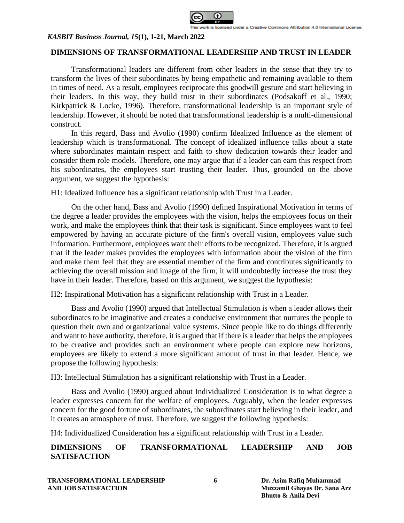

## **DIMENSIONS OF TRANSFORMATIONAL LEADERSHIP AND TRUST IN LEADER**

Transformational leaders are different from other leaders in the sense that they try to transform the lives of their subordinates by being empathetic and remaining available to them in times of need. As a result, employees reciprocate this goodwill gesture and start believing in their leaders. In this way, they build trust in their subordinates (Podsakoff et al., 1990; Kirkpatrick & Locke, 1996). Therefore, transformational leadership is an important style of leadership. However, it should be noted that transformational leadership is a multi-dimensional construct.

In this regard, Bass and Avolio (1990) confirm Idealized Influence as the element of leadership which is transformational. The concept of idealized influence talks about a state where subordinates maintain respect and faith to show dedication towards their leader and consider them role models. Therefore, one may argue that if a leader can earn this respect from his subordinates, the employees start trusting their leader. Thus, grounded on the above argument, we suggest the hypothesis:

H1: Idealized Influence has a significant relationship with Trust in a Leader.

On the other hand, Bass and Avolio (1990) defined Inspirational Motivation in terms of the degree a leader provides the employees with the vision, helps the employees focus on their work, and make the employees think that their task is significant. Since employees want to feel empowered by having an accurate picture of the firm's overall vision, employees value such information. Furthermore, employees want their efforts to be recognized. Therefore, it is argued that if the leader makes provides the employees with information about the vision of the firm and make them feel that they are essential member of the firm and contributes significantly to achieving the overall mission and image of the firm, it will undoubtedly increase the trust they have in their leader. Therefore, based on this argument, we suggest the hypothesis:

H2: Inspirational Motivation has a significant relationship with Trust in a Leader.

Bass and Avolio (1990) argued that Intellectual Stimulation is when a leader allows their subordinates to be imaginative and creates a conducive environment that nurtures the people to question their own and organizational value systems. Since people like to do things differently and want to have authority, therefore, it is argued that if there is a leader that helps the employees to be creative and provides such an environment where people can explore new horizons, employees are likely to extend a more significant amount of trust in that leader. Hence, we propose the following hypothesis:

H3: Intellectual Stimulation has a significant relationship with Trust in a Leader.

Bass and Avolio (1990) argued about Individualized Consideration is to what degree a leader expresses concern for the welfare of employees. Arguably, when the leader expresses concern for the good fortune of subordinates, the subordinates start believing in their leader, and it creates an atmosphere of trust. Therefore, we suggest the following hypothesis:

H4: Individualized Consideration has a significant relationship with Trust in a Leader.

# **DIMENSIONS OF TRANSFORMATIONAL LEADERSHIP AND JOB SATISFACTION**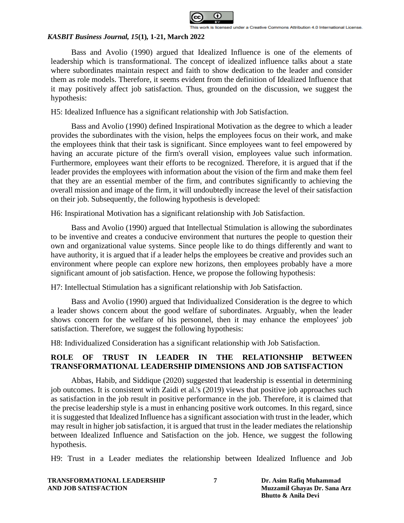

Bass and Avolio (1990) argued that Idealized Influence is one of the elements of leadership which is transformational. The concept of idealized influence talks about a state where subordinates maintain respect and faith to show dedication to the leader and consider them as role models. Therefore, it seems evident from the definition of Idealized Influence that it may positively affect job satisfaction. Thus, grounded on the discussion, we suggest the hypothesis:

H5: Idealized Influence has a significant relationship with Job Satisfaction.

Bass and Avolio (1990) defined Inspirational Motivation as the degree to which a leader provides the subordinates with the vision, helps the employees focus on their work, and make the employees think that their task is significant. Since employees want to feel empowered by having an accurate picture of the firm's overall vision, employees value such information. Furthermore, employees want their efforts to be recognized. Therefore, it is argued that if the leader provides the employees with information about the vision of the firm and make them feel that they are an essential member of the firm, and contributes significantly to achieving the overall mission and image of the firm, it will undoubtedly increase the level of their satisfaction on their job. Subsequently, the following hypothesis is developed:

H6: Inspirational Motivation has a significant relationship with Job Satisfaction.

Bass and Avolio (1990) argued that Intellectual Stimulation is allowing the subordinates to be inventive and creates a conducive environment that nurtures the people to question their own and organizational value systems. Since people like to do things differently and want to have authority, it is argued that if a leader helps the employees be creative and provides such an environment where people can explore new horizons, then employees probably have a more significant amount of job satisfaction. Hence, we propose the following hypothesis:

H7: Intellectual Stimulation has a significant relationship with Job Satisfaction.

Bass and Avolio (1990) argued that Individualized Consideration is the degree to which a leader shows concern about the good welfare of subordinates. Arguably, when the leader shows concern for the welfare of his personnel, then it may enhance the employees' job satisfaction. Therefore, we suggest the following hypothesis:

H8: Individualized Consideration has a significant relationship with Job Satisfaction.

# **ROLE OF TRUST IN LEADER IN THE RELATIONSHIP BETWEEN TRANSFORMATIONAL LEADERSHIP DIMENSIONS AND JOB SATISFACTION**

Abbas, Habib, and Siddique (2020) suggested that leadership is essential in determining job outcomes. It is consistent with Zaidi et al.'s (2019) views that positive job approaches such as satisfaction in the job result in positive performance in the job. Therefore, it is claimed that the precise leadership style is a must in enhancing positive work outcomes. In this regard, since it is suggested that Idealized Influence has a significant association with trust in the leader, which may result in higher job satisfaction, it is argued that trust in the leader mediates the relationship between Idealized Influence and Satisfaction on the job. Hence, we suggest the following hypothesis.

H9: Trust in a Leader mediates the relationship between Idealized Influence and Job

| TRANSFORMATIONAL LEADERSHIP |
|-----------------------------|
| AND JOB SATISFACTION        |

**The Transformance I** Dr. Asim Rafiq Muhammad **AND JOB SATISFACTION Muzzamil Ghayas Dr. Sana Arz Bhutto & Anila Devi**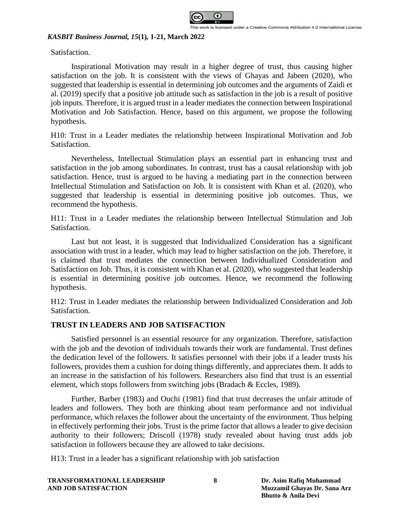

Satisfaction.

Inspirational Motivation may result in a higher degree of trust, thus causing higher satisfaction on the job. It is consistent with the views of Ghayas and Jabeen (2020), who suggested that leadership is essential in determining job outcomes and the arguments of Zaidi et al. (2019) specify that a positive job attitude such as satisfaction in the job is a result of positive job inputs. Therefore, it is argued trust in a leader mediates the connection between Inspirational Motivation and Job Satisfaction. Hence, based on this argument, we propose the following hypothesis.

H10: Trust in a Leader mediates the relationship between Inspirational Motivation and Job Satisfaction.

Nevertheless, Intellectual Stimulation plays an essential part in enhancing trust and satisfaction in the job among subordinates. In contrast, trust has a causal relationship with job satisfaction. Hence, trust is argued to be having a mediating part in the connection between Intellectual Stimulation and Satisfaction on Job. It is consistent with Khan et al. (2020), who suggested that leadership is essential in determining positive job outcomes. Thus, we recommend the hypothesis.

H11: Trust in a Leader mediates the relationship between Intellectual Stimulation and Job Satisfaction.

Last but not least, it is suggested that Individualized Consideration has a significant association with trust in a leader, which may lead to higher satisfaction on the job. Therefore, it is claimed that trust mediates the connection between Individualized Consideration and Satisfaction on Job. Thus, it is consistent with Khan et al. (2020), who suggested that leadership is essential in determining positive job outcomes. Hence, we recommend the following hypothesis.

H12: Trust in Leader mediates the relationship between Individualized Consideration and Job Satisfaction.

## **TRUST IN LEADERS AND JOB SATISFACTION**

Satisfied personnel is an essential resource for any organization. Therefore, satisfaction with the job and the devotion of individuals towards their work are fundamental. Trust defines the dedication level of the followers. It satisfies personnel with their jobs if a leader trusts his followers, provides them a cushion for doing things differently, and appreciates them. It adds to an increase in the satisfaction of his followers. Researchers also find that trust is an essential element, which stops followers from switching jobs (Bradach & Eccles, 1989).

Further, Barber (1983) and Ouchi (1981) find that trust decreases the unfair attitude of leaders and followers. They both are thinking about team performance and not individual performance, which relaxes the follower about the uncertainty of the environment. Thus helping in effectively performing their jobs. Trust is the prime factor that allows a leader to give decision authority to their followers; Driscoll (1978) study revealed about having trust adds job satisfaction in followers because they are allowed to take decisions.

H13: Trust in a leader has a significant relationship with job satisfaction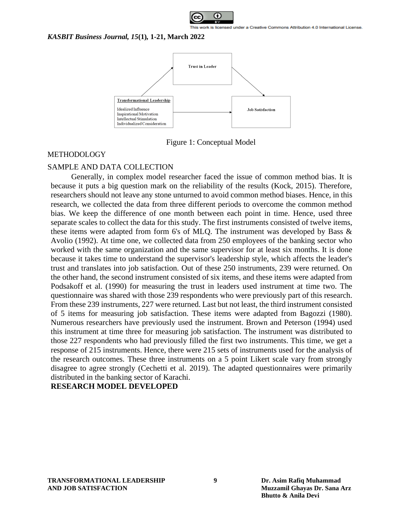



Figure 1: Conceptual Model

### METHODOLOGY

# SAMPLE AND DATA COLLECTION

Generally, in complex model researcher faced the issue of common method bias. It is because it puts a big question mark on the reliability of the results (Kock, 2015). Therefore, researchers should not leave any stone unturned to avoid common method biases. Hence, in this research, we collected the data from three different periods to overcome the common method bias. We keep the difference of one month between each point in time. Hence, used three separate scales to collect the data for this study. The first instruments consisted of twelve items, these items were adapted from form 6's of MLQ. The instrument was developed by Bass  $\&$ Avolio (1992). At time one, we collected data from 250 employees of the banking sector who worked with the same organization and the same supervisor for at least six months. It is done because it takes time to understand the supervisor's leadership style, which affects the leader's trust and translates into job satisfaction. Out of these 250 instruments, 239 were returned. On the other hand, the second instrument consisted of six items, and these items were adapted from Podsakoff et al. (1990) for measuring the trust in leaders used instrument at time two. The questionnaire was shared with those 239 respondents who were previously part of this research. From these 239 instruments, 227 were returned. Last but not least, the third instrument consisted of 5 items for measuring job satisfaction. These items were adapted from Bagozzi (1980). Numerous researchers have previously used the instrument. Brown and Peterson (1994) used this instrument at time three for measuring job satisfaction. The instrument was distributed to those 227 respondents who had previously filled the first two instruments. This time, we get a response of 215 instruments. Hence, there were 215 sets of instruments used for the analysis of the research outcomes. These three instruments on a 5 point Likert scale vary from strongly disagree to agree strongly (Cechetti et al. 2019). The adapted questionnaires were primarily distributed in the banking sector of Karachi.

# **RESEARCH MODEL DEVELOPED**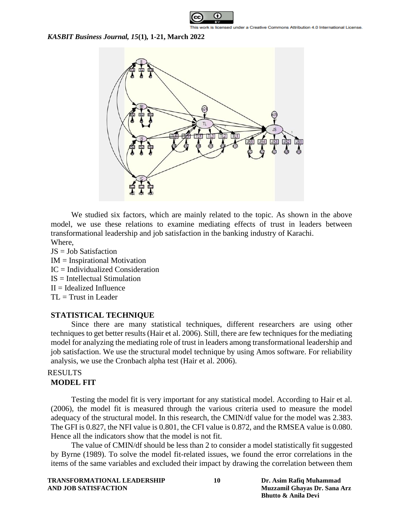



We studied six factors, which are mainly related to the topic. As shown in the above model, we use these relations to examine mediating effects of trust in leaders between transformational leadership and job satisfaction in the banking industry of Karachi. Where,

- JS = Job Satisfaction
- IM = Inspirational Motivation
- IC = Individualized Consideration
- IS = Intellectual Stimulation
- $II =$ Idealized Influence
- $TL = Trust in Leader$

### **STATISTICAL TECHNIQUE**

Since there are many statistical techniques, different researchers are using other techniques to get better results (Hair et al. 2006). Still, there are few techniques for the mediating model for analyzing the mediating role of trust in leaders among transformational leadership and job satisfaction. We use the structural model technique by using Amos software. For reliability analysis, we use the Cronbach alpha test (Hair et al. 2006).

# RESULTS

# **MODEL FIT**

Testing the model fit is very important for any statistical model. According to Hair et al. (2006), the model fit is measured through the various criteria used to measure the model adequacy of the structural model. In this research, the CMIN/df value for the model was 2.383. The GFI is 0.827, the NFI value is 0.801, the CFI value is 0.872, and the RMSEA value is 0.080. Hence all the indicators show that the model is not fit.

The value of CMIN/df should be less than 2 to consider a model statistically fit suggested by Byrne (1989). To solve the model fit-related issues, we found the error correlations in the items of the same variables and excluded their impact by drawing the correlation between them

| <b>TRANSFORMATIONAL LEADERSHIP</b> |
|------------------------------------|
| AND JOB SATISFACTION               |

**10 Dr. Asim Rafiq Muhammad AND JOB SATISFACTION Muzzamil Ghayas Dr. Sana Arz Bhutto & Anila Devi**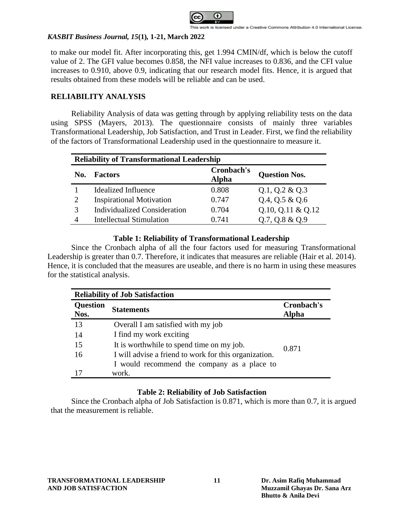

to make our model fit. After incorporating this, get 1.994 CMIN/df, which is below the cutoff value of 2. The GFI value becomes 0.858, the NFI value increases to 0.836, and the CFI value increases to 0.910, above 0.9, indicating that our research model fits. Hence, it is argued that results obtained from these models will be reliable and can be used.

# **RELIABILITY ANALYSIS**

Reliability Analysis of data was getting through by applying reliability tests on the data using SPSS (Mayers, 2013). The questionnaire consists of mainly three variables Transformational Leadership, Job Satisfaction, and Trust in Leader. First, we find the reliability of the factors of Transformational Leadership used in the questionnaire to measure it.

| <b>Reliability of Transformational Leadership</b> |                                     |                            |                      |  |
|---------------------------------------------------|-------------------------------------|----------------------------|----------------------|--|
| No.                                               | <b>Factors</b>                      | Cronbach's<br><b>Alpha</b> | <b>Question Nos.</b> |  |
|                                                   | <b>Idealized Influence</b>          | 0.808                      | $Q.1$ , $Q.2 \& Q.3$ |  |
| $\mathcal{D}_{\mathcal{L}}$                       | <b>Inspirational Motivation</b>     | 0.747                      | $Q.4$ , $Q.5 \& Q.6$ |  |
| 3                                                 | <b>Individualized Consideration</b> | 0.704                      | $Q.10, Q.11 \& Q.12$ |  |
| 4                                                 | <b>Intellectual Stimulation</b>     | 0.741                      | $Q.7, Q.8 \& Q.9$    |  |

## **Table 1: Reliability of Transformational Leadership**

Since the Cronbach alpha of all the four factors used for measuring Transformational Leadership is greater than 0.7. Therefore, it indicates that measures are reliable (Hair et al. 2014). Hence, it is concluded that the measures are useable, and there is no harm in using these measures for the statistical analysis.

| <b>Reliability of Job Satisfaction</b> |                                                       |                     |  |
|----------------------------------------|-------------------------------------------------------|---------------------|--|
| <b>Question</b><br>Nos.                | <b>Statements</b>                                     | Cronbach's<br>Alpha |  |
| 13                                     | Overall I am satisfied with my job                    |                     |  |
| 14                                     | I find my work exciting                               |                     |  |
| 15                                     | It is worthwhile to spend time on my job.             | 0.871               |  |
| 16                                     | I will advise a friend to work for this organization. |                     |  |
|                                        | I would recommend the company as a place to           |                     |  |
| 17                                     | work.                                                 |                     |  |

# **Table 2: Reliability of Job Satisfaction**

Since the Cronbach alpha of Job Satisfaction is 0.871, which is more than 0.7, it is argued that the measurement is reliable.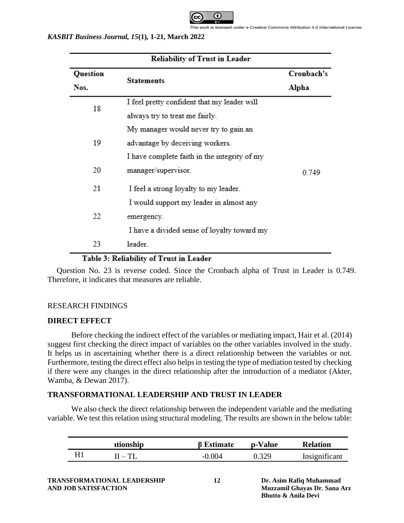

| <b>Reliability of Trust in Leader</b>   |                                              |            |  |  |
|-----------------------------------------|----------------------------------------------|------------|--|--|
| Question                                |                                              | Cronbach's |  |  |
| Nos.                                    | Statements                                   | Alpha      |  |  |
| 18                                      | I feel pretty confident that my leader will  |            |  |  |
|                                         | always try to treat me fairly.               |            |  |  |
|                                         | My manager would never try to gain an        |            |  |  |
| 19                                      | advantage by deceiving workers.              |            |  |  |
|                                         | I have complete faith in the integrity of my |            |  |  |
| 20                                      | manager/supervisor.                          | 0.749      |  |  |
| 21                                      | I feel a strong loyalty to my leader.        |            |  |  |
|                                         | I would support my leader in almost any      |            |  |  |
| 22                                      | emergency.                                   |            |  |  |
|                                         | I have a divided sense of loyalty toward my  |            |  |  |
| 23                                      | leader.                                      |            |  |  |
| Table 3: Reliability of Trust in Leader |                                              |            |  |  |

Question No. 23 is reverse coded. Since the Cronbach alpha of Trust in Leader is 0.749. Therefore, it indicates that measures are reliable.

# RESEARCH FINDINGS

### **DIRECT EFFECT**

Before checking the indirect effect of the variables or mediating impact, Hair et al. (2014) suggest first checking the direct impact of variables on the other variables involved in the study. It helps us in ascertaining whether there is a direct relationship between the variables or not. Furthermore, testing the direct effect also helps in testing the type of mediation tested by checking if there were any changes in the direct relationship after the introduction of a mediator (Akter, Wamba, & Dewan 2017).

### **TRANSFORMATIONAL LEADERSHIP AND TRUST IN LEADER**

We also check the direct relationship between the independent variable and the mediating variable. We test this relation using structural modeling. The results are shown in the below table:

|  | ationship | 3 Estimate | p-Value | <b>Relation</b> |
|--|-----------|------------|---------|-----------------|
|  | $-TT$     | 004<br>--  | 320     | Insignificant   |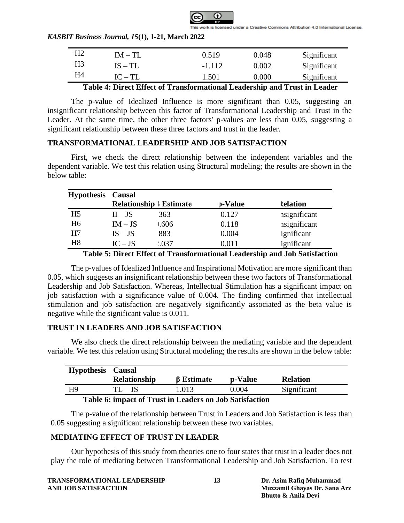

| H <sub>2</sub> | $IM - TI$ .        | 0.519         | 0.048      | Significant |
|----------------|--------------------|---------------|------------|-------------|
| H <sub>3</sub> | $IS - TI$ .        | $-1.112$      | 0.002      | Significant |
| Η4             | $IC-TL$            | .501          | 0.000      | Significant |
| ___            | $ -$<br>____<br>__ | $\sim$<br>___ | - -<br>___ | - - -       |

**Table 4: Direct Effect of Transformational Leadership and Trust in Leader**

The p-value of Idealized Influence is more significant than 0.05, suggesting an insignificant relationship between this factor of Transformational Leadership and Trust in the Leader. At the same time, the other three factors' p-values are less than 0.05, suggesting a significant relationship between these three factors and trust in the leader.

# **TRANSFORMATIONAL LEADERSHIP AND JOB SATISFACTION**

First, we check the direct relationship between the independent variables and the dependent variable. We test this relation using Structural modeling; the results are shown in the below table:

| <b>Hypothesis</b> | <b>Causal</b> |                                |         |                      |
|-------------------|---------------|--------------------------------|---------|----------------------|
|                   |               | <b>Relationship   Estimate</b> | p-Value | <b>Relation</b>      |
| H <sub>5</sub>    | $II - JS$     | 363                            | 0.127   | <i>n</i> significant |
| H <sub>6</sub>    | $IM - JS$     | 0.606                          | 0.118   | <i>nsignificant</i>  |
| H7                | $IS - JS$     | 883                            | 0.004   | ignificant           |
| H <sub>8</sub>    | $IC - JS$     | 0.037                          | 0.011   | ignificant           |

**Table 5: Direct Effect of Transformational Leadership and Job Satisfaction**

The p-values of Idealized Influence and Inspirational Motivation are more significant than 0.05, which suggests an insignificant relationship between these two factors of Transformational Leadership and Job Satisfaction. Whereas, Intellectual Stimulation has a significant impact on job satisfaction with a significance value of 0.004. The finding confirmed that intellectual stimulation and job satisfaction are negatively significantly associated as the beta value is negative while the significant value is 0.011.

## **TRUST IN LEADERS AND JOB SATISFACTION**

We also check the direct relationship between the mediating variable and the dependent variable. We test this relation using Structural modeling; the results are shown in the below table:

| <b>Hypothesis</b> | <b>Causal</b><br><b>Relationship</b> | $\beta$ Estimate | p-Value | <b>Relation</b> |
|-------------------|--------------------------------------|------------------|---------|-----------------|
| H9                | $TL - JS$                            | 1.013            | 0.004   | Significant     |
| . <i>.</i> .      | - 200                                |                  | .       |                 |

### **Table 6: impact of Trust in Leaders on Job Satisfaction**

The p-value of the relationship between Trust in Leaders and Job Satisfaction is less than 0.05 suggesting a significant relationship between these two variables.

# **MEDIATING EFFECT OF TRUST IN LEADER**

Our hypothesis of this study from theories one to four states that trust in a leader does not play the role of mediating between Transformational Leadership and Job Satisfaction. To test

| TRANSFORMATIONAL LEADERSHIP |  |
|-----------------------------|--|
| AND JOB SATISFACTION        |  |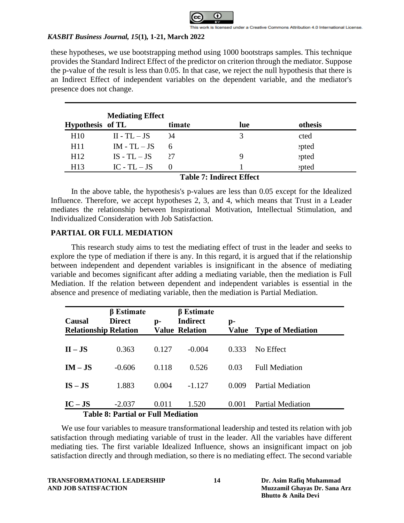

these hypotheses, we use bootstrapping method using 1000 bootstraps samples. This technique provides the Standard Indirect Effect of the predictor on criterion through the mediator. Suppose the p-value of the result is less than 0.05. In that case, we reject the null hypothesis that there is an Indirect Effect of independent variables on the dependent variable, and the mediator's presence does not change.

|                  | <b>Mediating Effect</b> |        |                                               |         |  |  |
|------------------|-------------------------|--------|-----------------------------------------------|---------|--|--|
| Hypothesis of TL |                         | timate | lue                                           | othesis |  |  |
| H10              | $II - TL - JS$          |        |                                               | cted    |  |  |
| H11              | $IM - TL - JS$          | 6      |                                               | epted   |  |  |
| H12              | $IS - TL - JS$          | 27     |                                               | epted   |  |  |
| H <sub>13</sub>  | $IC$ - $TL$ – $JS$      |        |                                               | epted   |  |  |
|                  |                         | .      | $\sim$ $\sim$ $\sim$ $\sim$<br>$\mathbf{r}$ . |         |  |  |

**Table 7: Indirect Effect**

In the above table, the hypothesis's p-values are less than 0.05 except for the Idealized Influence. Therefore, we accept hypotheses 2, 3, and 4, which means that Trust in a Leader mediates the relationship between Inspirational Motivation, Intellectual Stimulation, and Individualized Consideration with Job Satisfaction.

# **PARTIAL OR FULL MEDIATION**

This research study aims to test the mediating effect of trust in the leader and seeks to explore the type of mediation if there is any. In this regard, it is argued that if the relationship between independent and dependent variables is insignificant in the absence of mediating variable and becomes significant after adding a mediating variable, then the mediation is Full Mediation. If the relation between dependent and independent variables is essential in the absence and presence of mediating variable, then the mediation is Partial Mediation.

| Causal<br><b>Relationship Relation</b> | $\beta$ Estimate<br><b>Direct</b>              | $\mathbf{p}$ - | $\beta$ Estimate<br><b>Indirect</b><br><b>Value Relation</b> | p-    | <b>Value</b> Type of Mediation |
|----------------------------------------|------------------------------------------------|----------------|--------------------------------------------------------------|-------|--------------------------------|
| $II - JS$                              | 0.363                                          | 0.127          | $-0.004$                                                     | 0.333 | No Effect                      |
| $IM - JS$                              | $-0.606$                                       | 0.118          | 0.526                                                        | 0.03  | <b>Full Mediation</b>          |
| $IS - JS$                              | 1.883                                          | 0.004          | $-1.127$                                                     | 0.009 | <b>Partial Mediation</b>       |
| $IC - JS$                              | $-2.037$<br>Toble 8: Dortial or Full Mediation | 0.011          | 1.520                                                        | 0.001 | <b>Partial Mediation</b>       |

**Table 8: Partial or Full Mediation**

We use four variables to measure transformational leadership and tested its relation with job satisfaction through mediating variable of trust in the leader. All the variables have different mediating ties. The first variable Idealized Influence, shows an insignificant impact on job satisfaction directly and through mediation, so there is no mediating effect. The second variable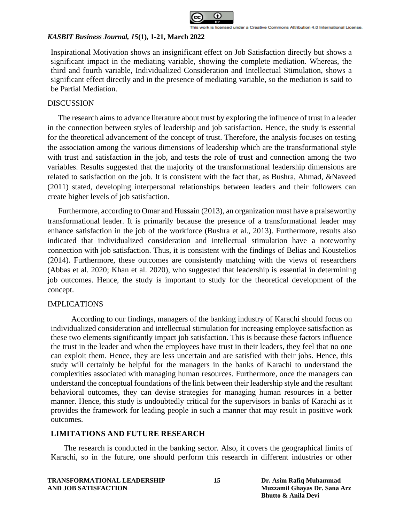

Inspirational Motivation shows an insignificant effect on Job Satisfaction directly but shows a significant impact in the mediating variable, showing the complete mediation. Whereas, the third and fourth variable, Individualized Consideration and Intellectual Stimulation, shows a significant effect directly and in the presence of mediating variable, so the mediation is said to be Partial Mediation.

### **DISCUSSION**

The research aims to advance literature about trust by exploring the influence of trust in a leader in the connection between styles of leadership and job satisfaction. Hence, the study is essential for the theoretical advancement of the concept of trust. Therefore, the analysis focuses on testing the association among the various dimensions of leadership which are the transformational style with trust and satisfaction in the job, and tests the role of trust and connection among the two variables. Results suggested that the majority of the transformational leadership dimensions are related to satisfaction on the job. It is consistent with the fact that, as Bushra, Ahmad, &Naveed (2011) stated, developing interpersonal relationships between leaders and their followers can create higher levels of job satisfaction.

Furthermore, according to Omar and Hussain (2013), an organization must have a praiseworthy transformational leader. It is primarily because the presence of a transformational leader may enhance satisfaction in the job of the workforce (Bushra et al., 2013). Furthermore, results also indicated that individualized consideration and intellectual stimulation have a noteworthy connection with job satisfaction. Thus, it is consistent with the findings of Belias and Koustelios (2014). Furthermore, these outcomes are consistently matching with the views of researchers (Abbas et al. 2020; Khan et al. 2020), who suggested that leadership is essential in determining job outcomes. Hence, the study is important to study for the theoretical development of the concept.

## IMPLICATIONS

According to our findings, managers of the banking industry of Karachi should focus on individualized consideration and intellectual stimulation for increasing employee satisfaction as these two elements significantly impact job satisfaction. This is because these factors influence the trust in the leader and when the employees have trust in their leaders, they feel that no one can exploit them. Hence, they are less uncertain and are satisfied with their jobs. Hence, this study will certainly be helpful for the managers in the banks of Karachi to understand the complexities associated with managing human resources. Furthermore, once the managers can understand the conceptual foundations of the link between their leadership style and the resultant behavioral outcomes, they can devise strategies for managing human resources in a better manner. Hence, this study is undoubtedly critical for the supervisors in banks of Karachi as it provides the framework for leading people in such a manner that may result in positive work outcomes.

# **LIMITATIONS AND FUTURE RESEARCH**

The research is conducted in the banking sector. Also, it covers the geographical limits of Karachi, so in the future, one should perform this research in different industries or other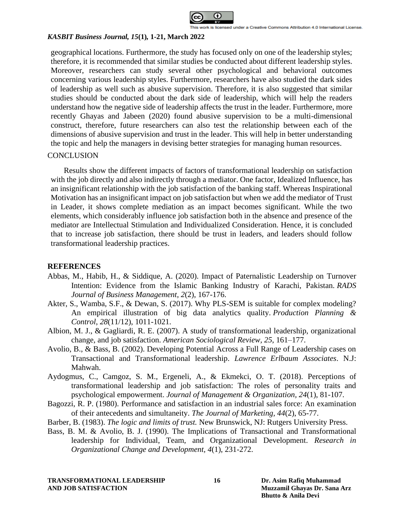

geographical locations. Furthermore, the study has focused only on one of the leadership styles; therefore, it is recommended that similar studies be conducted about different leadership styles. Moreover, researchers can study several other psychological and behavioral outcomes concerning various leadership styles. Furthermore, researchers have also studied the dark sides of leadership as well such as abusive supervision. Therefore, it is also suggested that similar studies should be conducted about the dark side of leadership, which will help the readers understand how the negative side of leadership affects the trust in the leader. Furthermore, more recently Ghayas and Jabeen (2020) found abusive supervision to be a multi-dimensional construct, therefore, future researchers can also test the relationship between each of the dimensions of abusive supervision and trust in the leader. This will help in better understanding the topic and help the managers in devising better strategies for managing human resources.

### **CONCLUSION**

Results show the different impacts of factors of transformational leadership on satisfaction with the job directly and also indirectly through a mediator. One factor, Idealized Influence, has an insignificant relationship with the job satisfaction of the banking staff. Whereas Inspirational Motivation has an insignificant impact on job satisfaction but when we add the mediator of Trust in Leader, it shows complete mediation as an impact becomes significant. While the two elements, which considerably influence job satisfaction both in the absence and presence of the mediator are Intellectual Stimulation and Individualized Consideration. Hence, it is concluded that to increase job satisfaction, there should be trust in leaders, and leaders should follow transformational leadership practices.

### **REFERENCES**

- Abbas, M., Habib, H., & Siddique, A. (2020). Impact of Paternalistic Leadership on Turnover Intention: Evidence from the Islamic Banking Industry of Karachi, Pakistan. *RADS Journal of Business Management*, *2*(2), 167-176.
- Akter, S., Wamba, S.F., & Dewan, S. (2017). Why PLS-SEM is suitable for complex modeling? An empirical illustration of big data analytics quality. *Production Planning & Control*, *28*(11/12), 1011-1021.
- Albion, M. J., & Gagliardi, R. E. (2007). A study of transformational leadership, organizational change, and job satisfaction. *American Sociological Review, 25*, 161–177.
- Avolio, B., & Bass, B. (2002). Developing Potential Across a Full Range of Leadership cases on Transactional and Transformational leadership. *Lawrence Erlbaum Associates*. N.J: Mahwah.
- Aydogmus, C., Camgoz, S. M., Ergeneli, A., & Ekmekci, O. T. (2018). Perceptions of transformational leadership and job satisfaction: The roles of personality traits and psychological empowerment. *Journal of Management & Organization, 24*(1), 81-107.
- Bagozzi, R. P. (1980). Performance and satisfaction in an industrial sales force: An examination of their antecedents and simultaneity. *The Journal of Marketing, 44*(2), 65-77.
- Barber, B. (1983). *The logic and limits of trust.* New Brunswick, NJ: Rutgers University Press.
- Bass, B. M. & Avolio, B. J. (1990). The Implications of Transactional and Transformational leadership for Individual, Team, and Organizational Development. *Research in Organizational Change and Development, 4*(1), 231-272.

**TRANSFORMATIONAL LEADERSHIP 16 Dr. Asim Rafiq Muhammad AND JOB SATISFACTION Muzzamil Ghayas Dr. Sana Arz**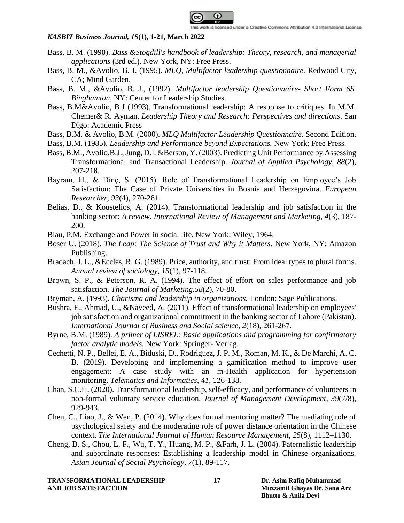

- Bass, B. M. (1990). *Bass &Stogdill's handbook of leadership: Theory, research, and managerial applications* (3rd ed.). New York, NY: Free Press.
- Bass, B. M., &Avolio, B. J. (1995). *MLQ, Multifactor leadership questionnaire.* Redwood City, CA; Mind Garden.
- Bass, B. M., &Avolio, B. J., (1992). *Multifactor leadership Questionnaire- Short Form 6S. Binghamton*, NY: Center for Leadership Studies.
- Bass, B.M&Avolio, B.J (1993). Transformational leadership: A response to critiques. In M.M. Chemer& R. Ayman, *Leadership Theory and Research: Perspectives and directions*. San Digo: Academic Press
- Bass, B.M. & Avolio, B.M. (2000). *MLQ Multifactor Leadership Questionnaire.* Second Edition.
- Bass, B.M. (1985). *Leadership and Performance beyond Expectations.* New York: Free Press.
- Bass, B.M., Avolio,B.J., Jung, D.I. &Berson, Y. (2003). Predicting Unit Performance by Assessing Transformational and Transactional Leadership. *Journal of Applied Psychology, 88*(2), 207-218.
- Bayram, H., & Dinç, S. (2015). Role of Transformational Leadership on Employee's Job Satisfaction: The Case of Private Universities in Bosnia and Herzegovina. *European Researcher, 93*(4), 270-281.
- Belias, D., & Koustelios, A. (2014). Transformational leadership and job satisfaction in the banking sector: *A review. International Review of Management and Marketing, 4*(3), 187- 200.
- Blau, P.M. Exchange and Power in social life. New York: Wiley, 1964.
- Boser U. (2018). *The Leap: The Science of Trust and Why it Matters.* New York, NY: Amazon Publishing.
- Bradach, J. L., &Eccles, R. G. (1989). Price, authority, and trust: From ideal types to plural forms. *Annual review of sociology, 15*(1), 97-118.
- Brown, S. P., & Peterson, R. A. (1994). The effect of effort on sales performance and job satisfaction. *The Journal of Marketing,58*(2), 70-80.
- Bryman, A. (1993). *Charisma and leadership in organizations.* London: Sage Publications.
- Bushra, F., Ahmad, U., &Naveed, A. (2011). Effect of transformational leadership on employees' job satisfaction and organizational commitment in the banking sector of Lahore (Pakistan). *International Journal of Business and Social science, 2*(18), 261-267.
- Byrne, B.M. (1989). *A primer of LISREL: Basic applications and programming for confirmatory factor analytic models.* New York: Springer- Verlag.
- Cechetti, N. P., Bellei, E. A., Biduski, D., Rodriguez, J. P. M., Roman, M. K., & De Marchi, A. C. B. (2019). Developing and implementing a gamification method to improve user engagement: A case study with an m-Health application for hypertension monitoring. *Telematics and Informatics*, *41*, 126-138.
- Chan, S.C.H. (2020). Transformational leadership, self-efficacy, and performance of volunteers in non-formal voluntary service education. *Journal of Management Development*, *39*(7/8), 929-943.
- Chen, C., Liao, J., & Wen, P. (2014). Why does formal mentoring matter? The mediating role of psychological safety and the moderating role of power distance orientation in the Chinese context. *The International Journal of Human Resource Management, 25*(8), 1112–1130.
- Cheng, B. S., Chou, L. F., Wu, T. Y., Huang, M. P., &Farh, J. L. (2004). Paternalistic leadership and subordinate responses: Establishing a leadership model in Chinese organizations. *Asian Journal of Social Psychology, 7*(1), 89-117.

**TRANSFORMATIONAL LEADERSHIP 17 Dr. Asim Rafiq Muhammad AND JOB SATISFACTION Muzzamil Ghayas Dr. Sana Arz**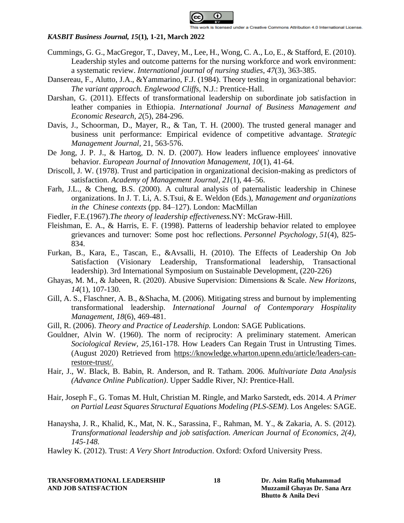

- Cummings, G. G., MacGregor, T., Davey, M., Lee, H., Wong, C. A., Lo, E., & Stafford, E. (2010). Leadership styles and outcome patterns for the nursing workforce and work environment: a systematic review. *International journal of nursing studies*, *47*(3), 363-385.
- Dansereau, F., Alutto, J.A., &Yammarino, F.J. (1984). Theory testing in organizational behavior: *The variant approach. Englewood Cliffs,* N.J.: Prentice-Hall.
- Darshan, G. (2011). Effects of transformational leadership on subordinate job satisfaction in leather companies in Ethiopia. *International Journal of Business Management and Economic Research, 2*(5), 284-296.
- Davis, J., Schoorman, D., Mayer, R., & Tan, T. H. (2000). The trusted general manager and business unit performance: Empirical evidence of competitive advantage. *Strategic Management Journal,* 21, 563-576.
- De Jong, J. P. J., & Hartog, D. N. D. (2007). How leaders influence employees' innovative behavior. *European Journal of Innovation Management, 10*(1), 41-64.
- Driscoll, J. W. (1978). Trust and participation in organizational decision-making as predictors of satisfaction. *Academy of Management Journal, 21*(1), 44–56.
- Farh, J.L., & Cheng, B.S. (2000). A cultural analysis of paternalistic leadership in Chinese organizations. In J. T. Li, A. S.Tsui, & E. Weldon (Eds.), *Management and organizations in the Chinese contexts* (pp. 84–127). London: MacMillan
- Fiedler, F.E.(1967).*The theory of leadership effectiveness.*NY: McGraw-Hill.
- Fleishman, E. A., & Harris, E. F. (1998). Patterns of leadership behavior related to employee grievances and turnover: Some post hoc reflections. *Personnel Psychology*, *51*(4), 825- 834.
- Furkan, B., Kara, E., Tascan, E., &Avsalli, H. (2010). The Effects of Leadership On Job Satisfaction (Visionary Leadership, Transformational leadership, Transactional leadership). 3rd International Symposium on Sustainable Development, (220-226)
- Ghayas, M. M., & Jabeen, R. (2020). Abusive Supervision: Dimensions & Scale. *New Horizons, 14*(1), 107-130.
- Gill, A. S., Flaschner, A. B., &Shacha, M. (2006). Mitigating stress and burnout by implementing transformational leadership. *International Journal of Contemporary Hospitality Management, 18*(6), 469-481.
- Gill, R. (2006). *Theory and Practice of Leadership.* London: SAGE Publications.
- Gouldner, Alvin W. (1960). The norm of reciprocity: A preliminary statement. American *Sociological Review, 25,*161-178. How Leaders Can Regain Trust in Untrusting Times. (August 2020) Retrieved from [https://knowledge.wharton.upenn.edu/article/leaders-can](https://knowledge.wharton.upenn.edu/article/leaders-can-restore-trust/)[restore-trust/.](https://knowledge.wharton.upenn.edu/article/leaders-can-restore-trust/)
- Hair, J., W. Black, B. Babin, R. Anderson, and R. Tatham. 2006. *Multivariate Data Analysis (Advance Online Publication)*. Upper Saddle River, NJ: Prentice-Hall.
- Hair, Joseph F., G. Tomas M. Hult, Christian M. Ringle, and Marko Sarstedt, eds. 2014. *A Primer on Partial Least Squares Structural Equations Modeling (PLS-SEM)*. Los Angeles: SAGE.
- Hanaysha, J. R., Khalid, K., Mat, N. K., Sarassina, F., Rahman, M. Y., & Zakaria, A. S. (2012)*. Transformational leadership and job satisfaction. American Journal of Economics, 2(4), 145-148.*
- Hawley K. (2012). Trust: *A Very Short Introduction*. Oxford: Oxford University Press.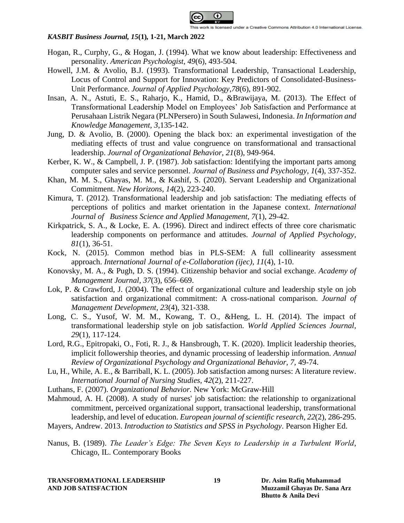

- Hogan, R., Curphy, G., & Hogan, J. (1994). What we know about leadership: Effectiveness and personality. *American Psychologist, 49*(6), 493-504.
- Howell, J.M. & Avolio, B.J. (1993). Transformational Leadership, Transactional Leadership, Locus of Control and Support for Innovation: Key Predictors of Consolidated-Business-Unit Performance. *Journal of Applied Psychology,78*(6), 891-902.
- Insan, A. N., Astuti, E. S., Raharjo, K., Hamid, D., &Brawijaya, M. (2013). The Effect of Transformational Leadership Model on Employees' Job Satisfaction and Performance at Perusahaan Listrik Negara (PLNPersero) in South Sulawesi, Indonesia. *In Information and Knowledge Management, 3*,135-142.
- Jung, D. & Avolio, B. (2000). Opening the black box: an experimental investigation of the mediating effects of trust and value congruence on transformational and transactional leadership. *Journal of Organizational Behavior, 21*(8), 949-964.
- Kerber, K. W., & Campbell, J. P. (1987). Job satisfaction: Identifying the important parts among computer sales and service personnel. *Journal of Business and Psychology*, *1*(4), 337-352.
- Khan, M. M. S., Ghayas, M. M., & Kashif, S. (2020). Servant Leadership and Organizational Commitment. *New Horizons*, *14*(2), 223-240.
- Kimura, T. (2012). Transformational leadership and job satisfaction: The mediating effects of perceptions of politics and market orientation in the Japanese context. *International Journal of Business Science and Applied Management, 7*(1), 29-42.
- Kirkpatrick, S. A., & Locke, E. A. (1996). Direct and indirect effects of three core charismatic leadership components on performance and attitudes. *Journal of Applied Psychology, 81*(1), 36-51.
- Kock, N. (2015). Common method bias in PLS-SEM: A full collinearity assessment approach. *International Journal of e-Collaboration (ijec)*, *11*(4), 1-10.
- Konovsky, M. A., & Pugh, D. S. (1994). Citizenship behavior and social exchange. *Academy of Management Journal, 37*(3), 656–669.
- Lok, P. & Crawford, J. (2004). The effect of organizational culture and leadership style on job satisfaction and organizational commitment: A cross-national comparison. *Journal of Management Development, 23*(4), 321-338.
- Long, C. S., Yusof, W. M. M., Kowang, T. O., &Heng, L. H. (2014). The impact of transformational leadership style on job satisfaction. *World Applied Sciences Journal, 29*(1), 117-124.
- Lord, R.G., Epitropaki, O., Foti, R. J., & Hansbrough, T. K. (2020). Implicit leadership theories, implicit followership theories, and dynamic processing of leadership information. *Annual Review of Organizational Psychology and Organizational Behavior, 7,* 49-74.
- Lu, H., While, A. E., & Barriball, K. L. (2005). Job satisfaction among nurses: A literature review. *International Journal of Nursing Studies, 42*(2), 211-227.
- Luthans, F. (2007). *Organizational Behavior.* New York: McGraw-Hill
- Mahmoud, A. H. (2008). A study of nurses' job satisfaction: the relationship to organizational commitment, perceived organizational support, transactional leadership, transformational leadership, and level of education. *European journal of scientific research, 22*(2), 286-295.
- Mayers, Andrew. 2013. *Introduction to Statistics and SPSS in Psychology*. Pearson Higher Ed.
- Nanus, B. (1989). *The Leader's Edge: The Seven Keys to Leadership in a Turbulent World*, Chicago, IL. Contemporary Books

**TRANSFORMATIONAL LEADERSHIP 19 Dr. Asim Rafiq Muhammad AND JOB SATISFACTION Muzzamil Ghayas Dr. Sana Arz**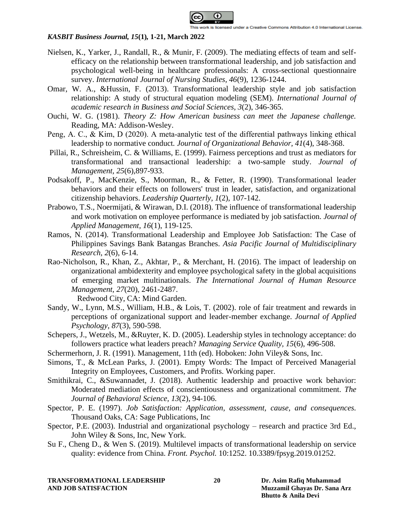

- Nielsen, K., Yarker, J., Randall, R., & Munir, F. (2009). The mediating effects of team and selfefficacy on the relationship between transformational leadership, and job satisfaction and psychological well-being in healthcare professionals: A cross-sectional questionnaire survey. *International Journal of Nursing Studies, 46*(9), 1236-1244.
- Omar, W. A., &Hussin, F. (2013). Transformational leadership style and job satisfaction relationship: A study of structural equation modeling (SEM). *International Journal of academic research in Business and Social Sciences, 3*(2), 346-365.
- Ouchi, W. G. (1981). *Theory Z: How American business can meet the Japanese challenge.* Reading, MA: Addison-Wesley.
- Peng, A. C., & Kim, D (2020). A meta-analytic test of the differential pathways linking ethical leadership to normative conduct*. Journal of Organizational Behavior, 41*(4), 348-368.
- Pillai, R., Schreisheim, C. & Williams, E. (1999). Fairness perceptions and trust as mediators for transformational and transactional leadership: a two-sample study. *Journal of Management, 25*(6),897-933.
- Podsakoff, P., MacKenzie, S., Moorman, R., & Fetter, R. (1990). Transformational leader behaviors and their effects on followers' trust in leader, satisfaction, and organizational citizenship behaviors. *Leadership Quarterly, 1*(2), 107-142.
- Prabowo, T.S., Noermijati, & Wirawan, D.I. (2018). The influence of transformational leadership and work motivation on employee performance is mediated by job satisfaction. *Journal of Applied Management, 16*(1), 119-125.
- Ramos, N. (2014). Transformational Leadership and Employee Job Satisfaction: The Case of Philippines Savings Bank Batangas Branches. *Asia Pacific Journal of Multidisciplinary Research, 2*(6), 6-14.
- Rao-Nicholson, R., Khan, Z., Akhtar, P., & Merchant, H. (2016). The impact of leadership on organizational ambidexterity and employee psychological safety in the global acquisitions of emerging market multinationals. *The International Journal of Human Resource Management, 27*(20), 2461-2487.

Redwood City, CA: Mind Garden.

- Sandy, W., Lynn, M.S., William, H.B., & Lois, T. (2002). role of fair treatment and rewards in perceptions of organizational support and leader-member exchange. *Journal of Applied Psychology, 87*(3), 590-598.
- Schepers, J., Wetzels, M., &Ruyter, K. D. (2005). Leadership styles in technology acceptance: do followers practice what leaders preach? *Managing Service Quality, 15*(6), 496-508.
- Schermerhorn, J. R. (1991). Management, 11th (ed). Hoboken: John Viley& Sons, Inc.
- Simons, T., & McLean Parks, J. (2001). Empty Words: The Impact of Perceived Managerial Integrity on Employees, Customers, and Profits. Working paper.
- Smithikrai, C., &Suwannadet, J. (2018). Authentic leadership and proactive work behavior: Moderated mediation effects of conscientiousness and organizational commitment. *The Journal of Behavioral Science, 13*(2), 94-106.
- Spector, P. E. (1997). *Job Satisfaction: Application, assessment, cause, and consequences.* Thousand Oaks, CA: Sage Publications, Inc
- Spector, P.E. (2003). Industrial and organizational psychology research and practice 3rd Ed., John Wiley & Sons, Inc, New York.
- Su F., Cheng D., & Wen S. (2019). Multilevel impacts of transformational leadership on service quality: evidence from China. *Front. Psychol.* 10:1252. 10.3389/fpsyg.2019.01252.

**TRANSFORMATIONAL LEADERSHIP 20 Dr. Asim Rafiq Muhammad AND JOB SATISFACTION Muzzamil Ghayas Dr. Sana Arz**